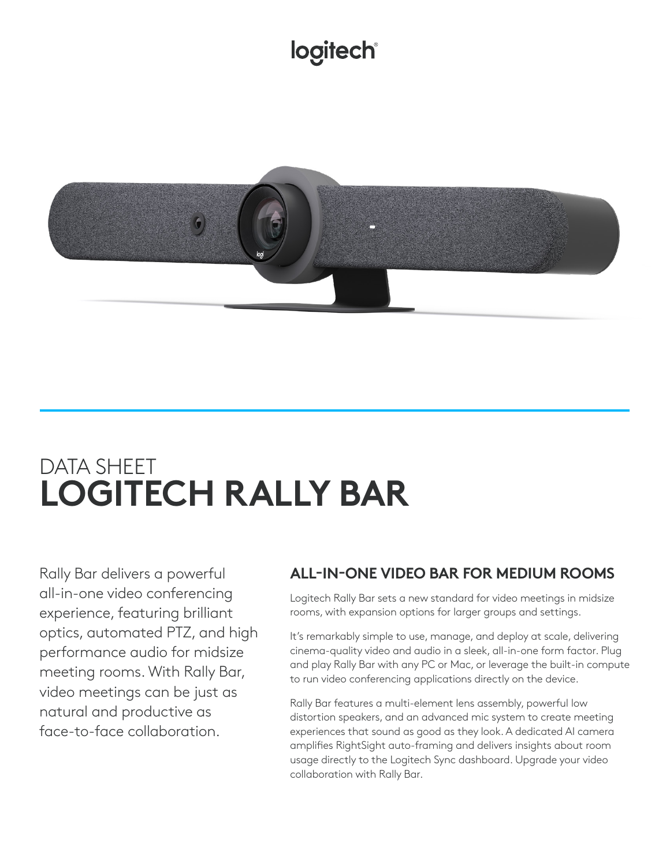# logitech®



# DATA SHEET **LOGITECH RALLY BAR**

Rally Bar delivers a powerful all-in-one video conferencing experience, featuring brilliant optics, automated PTZ, and high performance audio for midsize meeting rooms. With Rally Bar, video meetings can be just as natural and productive as face-to-face collaboration.

# **ALL-IN-ONE VIDEO BAR FOR MEDIUM ROOMS**

Logitech Rally Bar sets a new standard for video meetings in midsize rooms, with expansion options for larger groups and settings.

It's remarkably simple to use, manage, and deploy at scale, delivering cinema-quality video and audio in a sleek, all-in-one form factor. Plug and play Rally Bar with any PC or Mac, or leverage the built-in compute to run video conferencing applications directly on the device.

Rally Bar features a multi-element lens assembly, powerful low distortion speakers, and an advanced mic system to create meeting experiences that sound as good as they look. A dedicated AI camera amplifies RightSight auto-framing and delivers insights about room usage directly to the Logitech Sync dashboard. Upgrade your video collaboration with Rally Bar.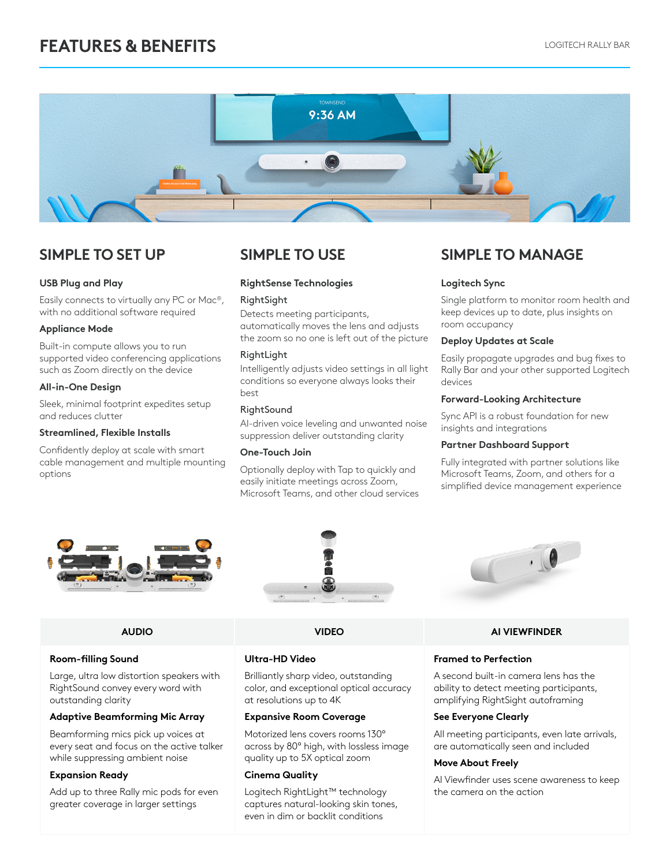# **FEATURES & BENEFITS LOGITECH RALLY BAR**



#### **USB Plug and Play**

Easily connects to virtually any PC or Mac®, with no additional software required

#### **Appliance Mode**

Built-in compute allows you to run supported video conferencing applications such as Zoom directly on the device

#### **All-in-One Design**

Sleek, minimal footprint expedites setup and reduces clutter

#### **Streamlined, Flexible Installs**

Confidently deploy at scale with smart cable management and multiple mounting options

#### **RightSense Technologies**

#### **RightSight**

Detects meeting participants, automatically moves the lens and adjusts the zoom so no one is left out of the picture

#### RightLight

Intelligently adjusts video settings in all light conditions so everyone always looks their best

#### **RightSound**

AI-driven voice leveling and unwanted noise suppression deliver outstanding clarity

#### **One-Touch Join**

Optionally deploy with Tap to quickly and easily initiate meetings across Zoom, Microsoft Teams, and other cloud services

## **SIMPLE TO SET UP SIMPLE TO USE SIMPLE TO MANAGE**

#### **Logitech Sync**

Single platform to monitor room health and keep devices up to date, plus insights on room occupancy

#### **Deploy Updates at Scale**

Easily propagate upgrades and bug fixes to Rally Bar and your other supported Logitech devices

#### **Forward-Looking Architecture**

Sync API is a robust foundation for new insights and integrations

#### **Partner Dashboard Support**

Fully integrated with partner solutions like Microsoft Teams, Zoom, and others for a simplified device management experience





### **Room-filling Sound**

Large, ultra low distortion speakers with RightSound convey every word with outstanding clarity

#### **Adaptive Beamforming Mic Array**

Beamforming mics pick up voices at every seat and focus on the active talker while suppressing ambient noise

### **Expansion Ready**

Add up to three Rally mic pods for even greater coverage in larger settings



### **Ultra-HD Video**

Brilliantly sharp video, outstanding color, and exceptional optical accuracy at resolutions up to 4K

#### **Expansive Room Coverage**

Motorized lens covers rooms 130° across by 80° high, with lossless image quality up to 5X optical zoom

#### **Cinema Quality**

Logitech RightLight™ technology captures natural-looking skin tones, even in dim or backlit conditions



#### **AUDIO VIDEO AI VIEWFINDER**

#### **Framed to Perfection**

A second built-in camera lens has the ability to detect meeting participants, amplifying RightSight autoframing

#### **See Everyone Clearly**

All meeting participants, even late arrivals, are automatically seen and included

#### **Move About Freely**

AI Viewfinder uses scene awareness to keep the camera on the action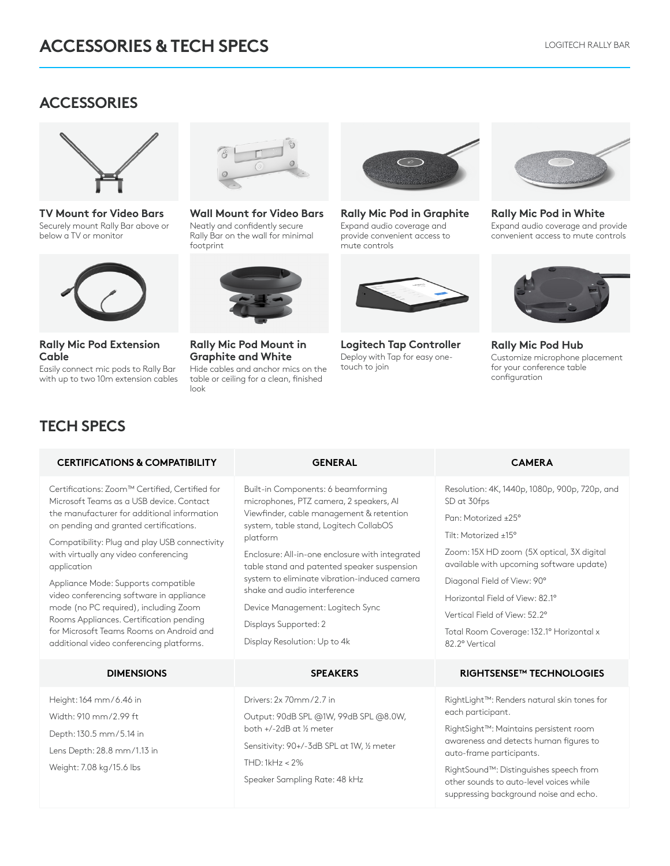## **ACCESSORIES**



**TV Mount for Video Bars** Securely mount Rally Bar above or below a TV or monitor



**Rally Mic Pod Extension Cable**

Easily connect mic pods to Rally Bar with up to two 10m extension cables



**Wall Mount for Video Bars** Neatly and confidently secure Rally Bar on the wall for minimal footprint



**Rally Mic Pod Mount in Graphite and White** Hide cables and anchor mics on the table or ceiling for a clean, finished

look



**Rally Mic Pod in Graphite** Expand audio coverage and provide convenient access to .<br>mute controls



**Logitech Tap Controller** Deploy with Tap for easy onetouch to join



**Rally Mic Pod in White** Expand audio coverage and provide convenient access to mute controls



**Rally Mic Pod Hub** Customize microphone placement for your conference table configuration

# **TECH SPECS**

#### **CERTIFICATIONS & COMPATIBILITY GENERAL CAMERA**

Certifications: Zoom™ Certified, Certified for Microsoft Teams as a USB device. Contact the manufacturer for additional information on pending and granted certifications.

Compatibility: Plug and play USB connectivity with virtually any video conferencing application

Appliance Mode: Supports compatible video conferencing software in appliance mode (no PC required), including Zoom Rooms Appliances. Certification pending for Microsoft Teams Rooms on Android and additional video conferencing platforms.

Height: 164 mm / 6.46 in Width: 910 mm / 2.99 ft Depth: 130.5 mm / 5.14 in Lens Depth: 28.8 mm/1.13 in Weight: 7.08 kg/15.6 lbs

Built-in Components: 6 beamforming microphones, PTZ camera, 2 speakers, AI Viewfinder, cable management & retention system, table stand, Logitech CollabOS platform

Enclosure: All-in-one enclosure with integrated table stand and patented speaker suspension system to eliminate vibration-induced camera shake and audio interference

Device Management: Logitech Sync

Output: 90dB SPL @1W, 99dB SPL @8.0W,

Sensitivity: 90+/-3dB SPL at 1W, ½ meter

Speaker Sampling Rate: 48 kHz

Displays Supported: 2

Display Resolution: Up to 4k

Drivers: 2x 70mm/2.7 in

both +/-2dB at ½ meter

THD: 1kHz < 2%

Resolution: 4K, 1440p, 1080p, 900p, 720p, and SD at 30fps

Pan: Motorized ±25°

Tilt: Motorized ±15°

Zoom: 15X HD zoom (5X optical, 3X digital available with upcoming software update)

Diagonal Field of View: 90°

Horizontal Field of View: 82.1°

Vertical Field of View: 52.2°

Total Room Coverage: 132.1° Horizontal x 82.2° Vertical

### **DIMENSIONS SPEAKERS RIGHTSENSE™ TECHNOLOGIES**

RightLight™: Renders natural skin tones for each participant.

RightSight™: Maintains persistent room awareness and detects human figures to auto-frame participants.

RightSound™: Distinguishes speech from other sounds to auto-level voices while suppressing background noise and echo.